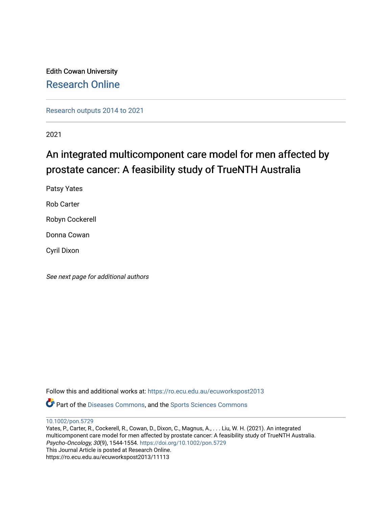Edith Cowan University [Research Online](https://ro.ecu.edu.au/) 

[Research outputs 2014 to 2021](https://ro.ecu.edu.au/ecuworkspost2013) 

2021

## An integrated multicomponent care model for men affected by prostate cancer: A feasibility study of TrueNTH Australia

Patsy Yates Rob Carter

Robyn Cockerell

Donna Cowan

Cyril Dixon

See next page for additional authors

Follow this and additional works at: [https://ro.ecu.edu.au/ecuworkspost2013](https://ro.ecu.edu.au/ecuworkspost2013?utm_source=ro.ecu.edu.au%2Fecuworkspost2013%2F11113&utm_medium=PDF&utm_campaign=PDFCoverPages) 

Part of the [Diseases Commons](http://network.bepress.com/hgg/discipline/813?utm_source=ro.ecu.edu.au%2Fecuworkspost2013%2F11113&utm_medium=PDF&utm_campaign=PDFCoverPages), and the [Sports Sciences Commons](http://network.bepress.com/hgg/discipline/759?utm_source=ro.ecu.edu.au%2Fecuworkspost2013%2F11113&utm_medium=PDF&utm_campaign=PDFCoverPages) 

[10.1002/pon.5729](http://dx.doi.org/10.1002/pon.5729)

Yates, P., Carter, R., Cockerell, R., Cowan, D., Dixon, C., Magnus, A., . . . Liu, W. H. (2021). An integrated multicomponent care model for men affected by prostate cancer: A feasibility study of TrueNTH Australia. Psycho‐Oncology, 30(9), 1544-1554. <https://doi.org/10.1002/pon.5729> This Journal Article is posted at Research Online. https://ro.ecu.edu.au/ecuworkspost2013/11113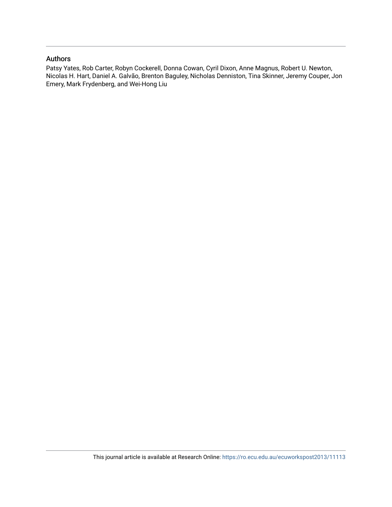## Authors

Patsy Yates, Rob Carter, Robyn Cockerell, Donna Cowan, Cyril Dixon, Anne Magnus, Robert U. Newton, Nicolas H. Hart, Daniel A. Galvão, Brenton Baguley, Nicholas Denniston, Tina Skinner, Jeremy Couper, Jon Emery, Mark Frydenberg, and Wei-Hong Liu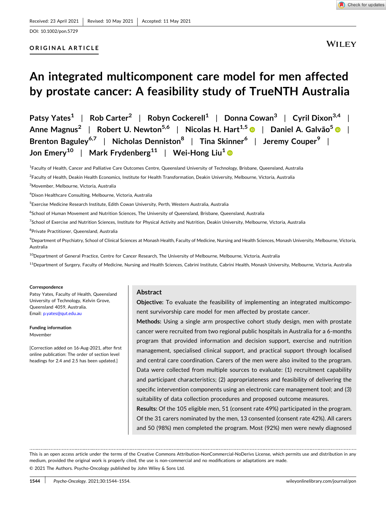## **ORIGINAL ARTICLE**

# **An integrated multicomponent care model for men affected by prostate cancer: A feasibility study of TrueNTH Australia**

**Patsy Yates1** | **Rob Carter<sup>2</sup>** | **Robyn Cockerell1** | **Donna Cowan3** | **Cyril Dixon3,4** | **Anne Magnus2** | **Robert U. Newton5,6** | **Nicolas H. Hart1,5** | **Daniel A. Galvão5** | **Brenton Baguley6,7** | **Nicholas Denniston8** | **Tina Skinner6** | **Jeremy Couper9** | **Jon Emery10** | **Mark Frydenberg11** | **Wei‐Hong Liu1**

<sup>1</sup> Faculty of Health, Cancer and Palliative Care Outcomes Centre, Queensland University of Technology, Brisbane, Queensland, Australia

2 Faculty of Health, Deakin Health Economics, Institute for Health Transformation, Deakin University, Melbourne, Victoria, Australia

3 Movember, Melbourne, Victoria, Australia

4 Dixon Healthcare Consulting, Melbourne, Victoria, Australia

5 Exercise Medicine Research Institute, Edith Cowan University, Perth, Western Australia, Australia

6 School of Human Movement and Nutrition Sciences, The University of Queensland, Brisbane, Queensland, Australia

<sup>7</sup>School of Exercise and Nutrition Sciences, Institute for Physical Activity and Nutrition, Deakin University, Melbourne, Victoria, Australia

<sup>8</sup> Private Practitioner, Queensland, Australia

 $^9$ Department of Psychiatry, School of Clinical Sciences at Monash Health, Faculty of Medicine, Nursing and Health Sciences, Monash University, Melbourne, Victoria, Australia

<sup>10</sup>Department of General Practice, Centre for Cancer Research, The University of Melbourne, Melbourne, Victoria, Australia

<sup>11</sup>Department of Surgery, Faculty of Medicine, Nursing and Health Sciences, Cabrini Institute, Cabrini Health, Monash University, Melbourne, Victoria, Australia

#### **Correspondence**

Patsy Yates, Faculty of Health, Queensland University of Technology, Kelvin Grove, Queensland 4059, Australia. Email: [p.yates@qut.edu.au](mailto:p.yates@qut.edu.au)

**Funding information** Movember

[Correction added on 16-Aug-2021, after first online publication: The order of section level headings for 2.4 and 2.5 has been updated.]

#### **Abstract**

**Objective:** To evaluate the feasibility of implementing an integrated multicomponent survivorship care model for men affected by prostate cancer.

**Methods:** Using a single arm prospective cohort study design, men with prostate cancer were recruited from two regional public hospitals in Australia for a 6‐months program that provided information and decision support, exercise and nutrition management, specialised clinical support, and practical support through localised and central care coordination. Carers of the men were also invited to the program. Data were collected from multiple sources to evaluate: (1) recruitment capability and participant characteristics; (2) appropriateness and feasibility of delivering the specific intervention components using an electronic care management tool; and (3) suitability of data collection procedures and proposed outcome measures.

**Results:** Of the 105 eligible men, 51 (consent rate 49%) participated in the program. Of the 31 carers nominated by the men, 13 consented (consent rate 42%). All carers and 50 (98%) men completed the program. Most (92%) men were newly diagnosed

This is an open access article under the terms of the Creative Commons Attribution‐NonCommercial‐NoDerivs License, which permits use and distribution in any medium, provided the original work is properly cited, the use is non‐commercial and no modifications or adaptations are made. © 2021 The Authors. Psycho‐Oncology published by John Wiley & Sons Ltd.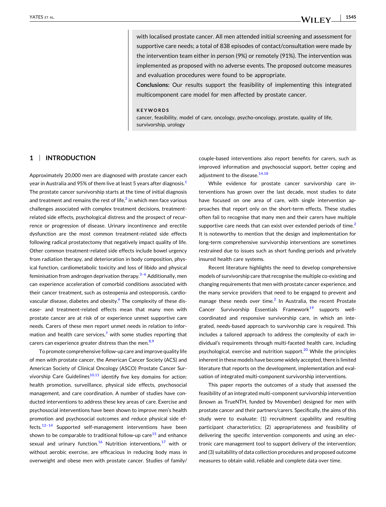with localised prostate cancer. All men attended initial screening and assessment for supportive care needs; a total of 838 episodes of contact/consultation were made by the intervention team either in person (9%) or remotely (91%). The intervention was implemented as proposed with no adverse events. The proposed outcome measures and evaluation procedures were found to be appropriate.

**Conclusions:** Our results support the feasibility of implementing this integrated multicomponent care model for men affected by prostate cancer.

#### **KEYWORDS**

cancer, feasibility, model of care, oncology, psycho-oncology, prostate, quality of life, survivorship, urology

#### **1** <sup>|</sup> **INTRODUCTION**

Approximately 20,000 men are diagnosed with prostate cancer each year in Australia and 95% of them live at least 5 years after diagnosis. $1$ The prostate cancer survivorship starts at the time of initial diagnosis and treatment and remains the rest of life, $<sup>2</sup>$  $<sup>2</sup>$  $<sup>2</sup>$  in which men face various</sup> challenges associated with complex treatment decisions, treatment‐ related side effects, psychological distress and the prospect of recurrence or progression of disease. Urinary incontinence and erectile dysfunction are the most common treatment‐related side effects following radical prostatectomy that negatively impact quality of life. Other common treatment‐related side effects include bowel urgency from radiation therapy, and deterioration in body composition, physical function, cardiometabolic toxicity and loss of libido and physical feminisation from androgen deprivation therapy. $3-6$  Additionally, men can experience acceleration of comorbid conditions associated with their cancer treatment, such as osteopenia and osteoporosis, cardio-vascular disease, diabetes and obesity.<sup>[6](#page-11-0)</sup> The complexity of these disease- and treatment-related effects mean that many men with prostate cancer are at risk of or experience unmet supportive care needs. Carers of these men report unmet needs in relation to infor-mation and health care services,<sup>[7](#page-11-0)</sup> with some studies reporting that carers can experience greater distress than the men. $8,9$ 

To promote comprehensive follow‐up care and improve quality life of men with prostate cancer, the American Cancer Society (ACS) and American Society of Clinical Oncology (ASCO) Prostate Cancer Survivorship Care Guidelines<sup>10,11</sup> identify five key domains for action: health promotion, surveillance, physical side effects, psychosocial management, and care coordination. A number of studies have conducted interventions to address these key areas of care. Exercise and psychosocial interventions have been shown to improve men's health promotion and psychosocial outcomes and reduce physical side ef-fects.<sup>[12–14](#page-11-0)</sup> Supported self-management interventions have been shown to be comparable to traditional follow-up care<sup>[15](#page-11-0)</sup> and enhance sexual and urinary function.<sup>[16](#page-11-0)</sup> Nutrition interventions,<sup>[17](#page-11-0)</sup> with or without aerobic exercise, are efficacious in reducing body mass in overweight and obese men with prostate cancer. Studies of family/ couple‐based interventions also report benefits for carers, such as improved information and psychosocial support, better coping and adjustment to the disease.<sup>[14,18](#page-11-0)</sup>

While evidence for prostate cancer survivorship care interventions has grown over the last decade, most studies to date have focused on one area of care, with single intervention approaches that report only on the short‐term effects. These studies often fail to recognise that many men and their carers have multiple supportive care needs that can exist over extended periods of time.<sup>2</sup> It is noteworthy to mention that the design and implementation for long‐term comprehensive survivorship interventions are sometimes restrained due to issues such as short funding periods and privately insured health care systems.

Recent literature highlights the need to develop comprehensive models of survivorship care that recognise the multiple co-existing and changing requirements that men with prostate cancer experience, and the many service providers that need to be engaged to prevent and manage these needs over time.<sup>[2](#page-11-0)</sup> In Australia, the recent Prostate Cancer Survivorship Essentials Framework $19$  supports wellcoordinated and responsive survivorship care, in which an integrated, needs‐based approach to survivorship care is required. This includes a tailored approach to address the complexity of each individual's requirements through multi‐faceted health care, including psychological, exercise and nutrition support.<sup>[20](#page-11-0)</sup> While the principles inherent in these models have become widely accepted, there is limited literature that reports on the development, implementation and evaluation of integrated multi‐component survivorship interventions.

This paper reports the outcomes of a study that assessed the feasibility of an integrated multi‐component survivorship intervention (known as TrueNTH, funded by Movember) designed for men with prostate cancer and their partners/carers. Specifically, the aims of this study were to evaluate: (1) recruitment capability and resulting participant characteristics; (2) appropriateness and feasibility of delivering the specific intervention components and using an electronic care management tool to support delivery of the intervention; and (3) suitability of data collection procedures and proposed outcome measures to obtain valid, reliable and complete data over time.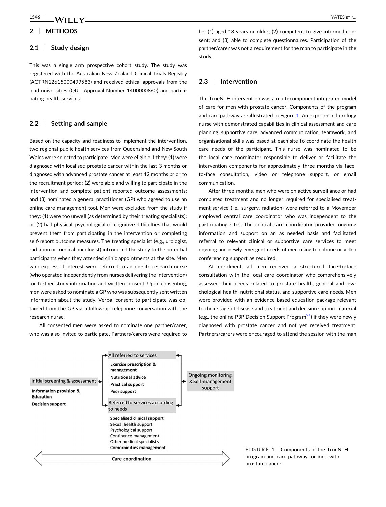## <span id="page-4-0"></span>**2** <sup>|</sup> **METHODS**

### **2.1** <sup>|</sup> **Study design**

This was a single arm prospective cohort study. The study was registered with the Australian New Zealand Clinical Trials Registry (ACTRN12615000499583) and received ethical approvals from the lead universities (QUT Approval Number 1400000860) and participating health services.

#### **2.2** <sup>|</sup> **Setting and sample**

Based on the capacity and readiness to implement the intervention, two regional public health services from Queensland and New South Wales were selected to participate. Men were eligible if they: (1) were diagnosed with localised prostate cancer within the last 3 months or diagnosed with advanced prostate cancer at least 12 months prior to the recruitment period; (2) were able and willing to participate in the intervention and complete patient reported outcome assessments; and (3) nominated a general practitioner (GP) who agreed to use an online care management tool. Men were excluded from the study if they: (1) were too unwell (as determined by their treating specialists); or (2) had physical, psychological or cognitive difficulties that would prevent them from participating in the intervention or completing self-report outcome measures. The treating specialist (e.g., urologist, radiation or medical oncologist) introduced the study to the potential participants when they attended clinic appointments at the site. Men who expressed interest were referred to an on‐site research nurse (who operated independently from nurses delivering the intervention) for further study information and written consent. Upon consenting, men were asked to nominate a GP who was subsequently sent written information about the study. Verbal consent to participate was obtained from the GP via a follow‐up telephone conversation with the research nurse.

All consented men were asked to nominate one partner/carer, who was also invited to participate. Partners/carers were required to

be: (1) aged 18 years or older; (2) competent to give informed consent; and (3) able to complete questionnaires. Participation of the partner/carer was not a requirement for the man to participate in the study.

#### **2.3** <sup>|</sup> **Intervention**

The TrueNTH intervention was a multi‐component integrated model of care for men with prostate cancer. Components of the program and care pathway are illustrated in Figure 1. An experienced urology nurse with demonstrated capabilities in clinical assessment and care planning, supportive care, advanced communication, teamwork, and organisational skills was based at each site to coordinate the health care needs of the participant. This nurse was nominated to be the local care coordinator responsible to deliver or facilitate the intervention components for approximately three months via face‐ to‐face consultation, video or telephone support, or email communication.

After three‐months, men who were on active surveillance or had completed treatment and no longer required for specialised treatment service (i.e., surgery, radiation) were referred to a Movember employed central care coordinator who was independent to the participating sites. The central care coordinator provided ongoing information and support on an as needed basis and facilitated referral to relevant clinical or supportive care services to meet ongoing and newly emergent needs of men using telephone or video conferencing support as required.

At enrolment, all men received a structured face‐to‐face consultation with the local care coordinator who comprehensively assessed their needs related to prostate health, general and psychological health, nutritional status, and supportive care needs. Men were provided with an evidence‐based education package relevant to their stage of disease and treatment and decision support material (e.g., the online P3P Decision Support Program<sup>[21](#page-11-0)</sup>) if they were newly diagnosed with prostate cancer and not yet received treatment. Partners/carers were encouraged to attend the session with the man



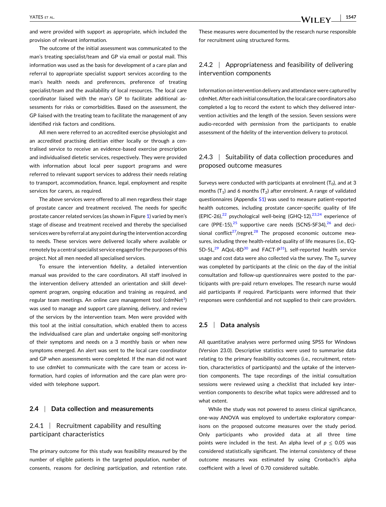and were provided with support as appropriate, which included the provision of relevant information.

The outcome of the initial assessment was communicated to the man's treating specialist/team and GP via email or postal mail. This information was used as the basis for development of a care plan and referral to appropriate specialist support services according to the man's health needs and preferences, preference of treating specialist/team and the availability of local resources. The local care coordinator liaised with the man's GP to facilitate additional assessments for risks or comorbidities. Based on the assessment, the GP liaised with the treating team to facilitate the management of any identified risk factors and conditions.

All men were referred to an accredited exercise physiologist and an accredited practising dietitian either locally or through a centralised service to receive an evidence‐based exercise prescription and individualised dietetic services, respectively. They were provided with information about local peer support programs and were referred to relevant support services to address their needs relating to transport, accommodation, finance, legal, employment and respite services for carers, as required.

The above services were offered to all men regardless their stage of prostate cancer and treatment received. The needs for specific prostate cancer related services (as shown in Figure [1\)](#page-4-0) varied by men's stage of disease and treatment received and thereby the specialised services were by referral at any point during the intervention according to needs. These services were delivered locally where available or remotely by a central specialist service engaged for the purposes of this project. Not all men needed all specialised services.

To ensure the intervention fidelity, a detailed intervention manual was provided to the care coordinators. All staff involved in the intervention delivery attended an orientation and skill development program, ongoing education and training as required, and regular team meetings. An online care management tool (cdmNet $^{\text{1}}$  $^{\text{1}}$  $^{\text{1}}$ ) was used to manage and support care planning, delivery, and review of the services by the intervention team. Men were provided with this tool at the initial consultation, which enabled them to access the individualised care plan and undertake ongoing self‐monitoring of their symptoms and needs on a 3 monthly basis or when new symptoms emerged. An alert was sent to the local care coordinator and GP when assessments were completed. If the man did not want to use cdmNet to communicate with the care team or access information, hard copies of information and the care plan were provided with telephone support.

#### **2.4** <sup>|</sup> **Data collection and measurements**

## 2.4.1 | Recruitment capability and resulting participant characteristics

The primary outcome for this study was feasibility measured by the number of eligible patients in the targeted population, number of consents, reasons for declining participation, and retention rate.

These measures were documented by the research nurse responsible for recruitment using structured forms.

## 2.4.2 | Appropriateness and feasibility of delivering intervention components

Information on intervention delivery and attendance were captured by cdmNet. After each initial consultation, the local care coordinators also completed a log to record the extent to which they delivered intervention activities and the length of the session. Seven sessions were audio‐recorded with permission from the participants to enable assessment of the fidelity of the intervention delivery to protocol.

## 2.4.3 <sup>|</sup> Suitability of data collection procedures and proposed outcome measures

Surveys were conducted with participants at enrolment  $(T_0)$ , and at 3 months (T<sub>1</sub>) and 6 months (T<sub>2</sub>) after enrolment. A range of validated questionnaires (Appendix S1) was used to measure patient‐reported health outcomes, including prostate cancer-specific quality of life (EPIC-26), $^{22}$  $^{22}$  $^{22}$  psychological well-being (GHQ-12), $^{23,24}$  experience of care (PPE-15), $^{25}$  supportive care needs (SCNS-SF34), $^{26}$  $^{26}$  $^{26}$  and decisional conflict<sup>27</sup>/regret.<sup>28</sup> The proposed economic outcome measures, including three health-related quality of life measures (i.e., EQ-5D-5L, $^{29}$  $^{29}$  $^{29}$  AQoL-8D $^{30}$  $^{30}$  $^{30}$  and FACT-P $^{31}$  $^{31}$  $^{31}$ ), self-reported health service usage and cost data were also collected via the survey. The  $T_0$  survey was completed by participants at the clinic on the day of the initial consultation and follow‐up questionnaires were posted to the participants with pre‐paid return envelopes. The research nurse would aid participants if required. Participants were informed that their responses were confidential and not supplied to their care providers.

#### **2.5** <sup>|</sup> **Data analysis**

All quantitative analyses were performed using SPSS for Windows (Version 23.0). Descriptive statistics were used to summarise data relating to the primary feasibility outcomes (i.e., recruitment, retention, characteristics of participants) and the uptake of the intervention components. The tape recordings of the initial consultation sessions were reviewed using a checklist that included key intervention components to describe what topics were addressed and to what extent.

While the study was not powered to assess clinical significance, one‐way ANOVA was employed to undertake exploratory comparisons on the proposed outcome measures over the study period. Only participants who provided data at all three time points were included in the test. An alpha level of  $p \le 0.05$  was considered statistically significant. The internal consistency of these outcome measures was estimated by using Cronbach's alpha coefficient with a level of 0.70 considered suitable.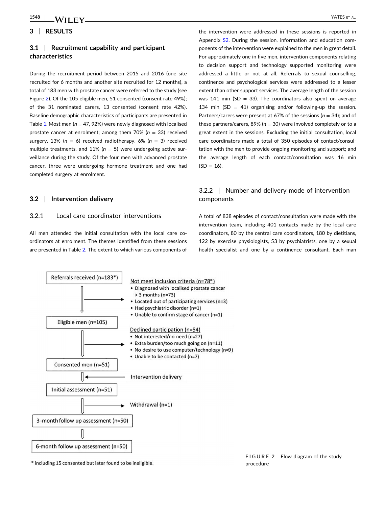#### **3** <sup>|</sup> **RESULTS**

## **3.1** <sup>|</sup> **Recruitment capability and participant characteristics**

During the recruitment period between 2015 and 2016 (one site recruited for 6 months and another site recruited for 12 months), a total of 183 men with prostate cancer were referred to the study (see Figure 2). Of the 105 eligible men, 51 consented (consent rate 49%); of the 31 nominated carers, 13 consented (consent rate 42%). Baseline demographic characteristics of participants are presented in Table [1.](#page-7-0) Most men ( $n = 47, 92%$ ) were newly diagnosed with localised prostate cancer at enrolment; among them 70% (*n* = 33) received surgery, 13% (*n* = 6) received radiotherapy, 6% (*n* = 3) received multiple treatments, and  $11\%$  ( $n = 5$ ) were undergoing active surveillance during the study. Of the four men with advanced prostate cancer, three were undergoing hormone treatment and one had completed surgery at enrolment.

#### **3.2** <sup>|</sup> **Intervention delivery**

#### 3.2.1 <sup>|</sup> Local care coordinator interventions

All men attended the initial consultation with the local care coordinators at enrolment. The themes identified from these sessions are presented in Table [2.](#page-8-0) The extent to which various components of

the intervention were addressed in these sessions is reported in Appendix S2. During the session, information and education components of the intervention were explained to the men in great detail. For approximately one in five men, intervention components relating to decision support and technology supported monitoring were addressed a little or not at all. Referrals to sexual counselling, continence and psychological services were addressed to a lesser extent than other support services. The average length of the session was 141 min (SD = 33). The coordinators also spent on average 134 min (SD = 41) organising and/or following-up the session. Partners/carers were present at 67% of the sessions (*n* = 34); and of these partners/carers,  $89\%$  ( $n = 30$ ) were involved completely or to a great extent in the sessions. Excluding the initial consultation, local care coordinators made a total of 350 episodes of contact/consultation with the men to provide ongoing monitoring and support; and the average length of each contact/consultation was 16 min  $(SD = 16)$ .

## 3.2.2 <sup>|</sup> Number and delivery mode of intervention components

A total of 838 episodes of contact/consultation were made with the intervention team, including 401 contacts made by the local care coordinators, 80 by the central care coordinators, 180 by dietitians, 122 by exercise physiologists, 53 by psychiatrists, one by a sexual health specialist and one by a continence consultant. Each man



\* including 15 consented but later found to be ineligible.

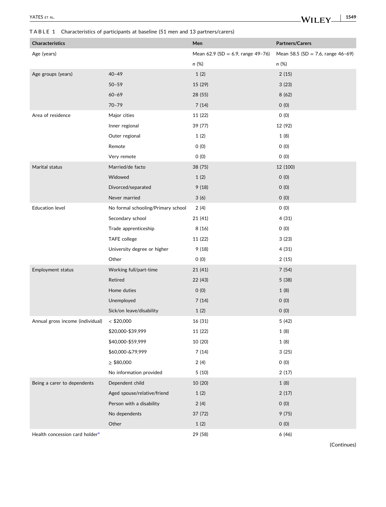### <span id="page-7-0"></span>**TABLE 1** Characteristics of participants at baseline (51 men and 13 partners/carers)

| <b>Characteristics</b>                     |                                    | Men                                    | <b>Partners/Carers</b>               |
|--------------------------------------------|------------------------------------|----------------------------------------|--------------------------------------|
| Age (years)                                |                                    | Mean $62.9$ (SD = 6.9, range $49-76$ ) | Mean 58.5 (SD = 7.6, range $46-69$ ) |
|                                            |                                    | n (%)                                  | n (%)                                |
| Age groups (years)                         | $40 - 49$                          | 1(2)                                   | 2(15)                                |
|                                            | $50 - 59$                          | 15 (29)                                | 3(23)                                |
|                                            | $60 - 69$                          | 28 (55)                                | 8(62)                                |
|                                            | $70 - 79$                          | 7(14)                                  | 0(0)                                 |
| Area of residence                          | Major cities                       | 11 (22)                                | 0(0)                                 |
|                                            | Inner regional                     | 39 (77)                                | 12 (92)                              |
|                                            | Outer regional                     | 1(2)                                   | 1(8)                                 |
|                                            | Remote                             | 0(0)                                   | O(0)                                 |
|                                            | Very remote                        | O(0)                                   | 0(0)                                 |
| Marital status                             | Married/de facto                   | 38 (75)                                | 12 (100)                             |
|                                            | Widowed                            | 1(2)                                   | 0(0)                                 |
|                                            | Divorced/separated                 | 9(18)                                  | O(0)                                 |
|                                            | Never married                      | 3(6)                                   | 0(0)                                 |
| <b>Education level</b>                     | No formal schooling/Primary school | 2(4)                                   | O(0)                                 |
|                                            | Secondary school                   | 21 (41)                                | 4(31)                                |
|                                            | Trade apprenticeship               | 8(16)                                  | 0(0)                                 |
|                                            | TAFE college                       | 11 (22)                                | 3(23)                                |
|                                            | University degree or higher        | 9(18)                                  | 4(31)                                |
|                                            | Other                              | O(0)                                   | 2(15)                                |
| Employment status                          | Working full/part-time             | 21 (41)                                | 7(54)                                |
|                                            | Retired                            | 22 (43)                                | 5 (38)                               |
|                                            | Home duties                        | 0(0)                                   | 1(8)                                 |
|                                            | Unemployed                         | 7(14)                                  | 0(0)                                 |
|                                            | Sick/on leave/disability           | 1(2)                                   | 0(0)                                 |
| Annual gross income (individual)           | $<$ \$20,000                       | 16 (31)                                | 5 (42)                               |
|                                            | \$20,000-\$39,999                  | 11 (22)                                | 1(8)                                 |
|                                            | \$40,000-\$59,999                  | 10 (20)                                | 1(8)                                 |
|                                            | \$60,000-&79,999                   | 7(14)                                  | 3(25)                                |
|                                            | $\geq$ \$80,000                    | 2(4)                                   | 0(0)                                 |
|                                            | No information provided            | 5(10)                                  | 2(17)                                |
| Being a carer to dependents                | Dependent child                    | 10 (20)                                | 1(8)                                 |
|                                            | Aged spouse/relative/friend        | 1(2)                                   | 2(17)                                |
|                                            | Person with a disability           | 2(4)                                   | 0(0)                                 |
|                                            | No dependents                      | 37 (72)                                | 9(75)                                |
|                                            | Other                              | 1(2)                                   | 0(0)                                 |
| Health concession card holder <sup>a</sup> |                                    | 29 (58)                                | 6(46)                                |

(Continues)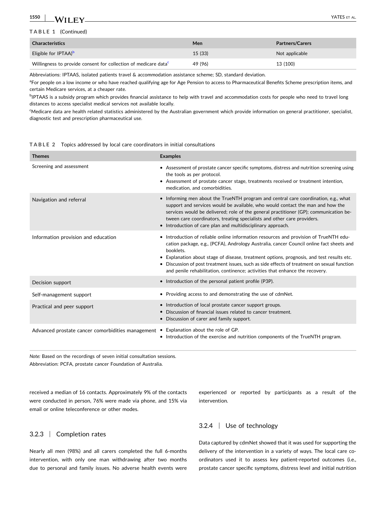#### <span id="page-8-0"></span>**1550**  $\blacksquare$  With expansion the contract of the contract of the contract of the contract of the contract of the contract of the contract of the contract of the contract of the contract of the contract of the contract of the con

| <b>Characteristics</b>                                                      | Men     | <b>Partners/Carers</b> |
|-----------------------------------------------------------------------------|---------|------------------------|
| Eligible for IPTAA) <sup>b</sup>                                            | 15(33)  | Not applicable         |
| Willingness to provide consent for collection of medicare data <sup>c</sup> | 49 (96) | 13 (100)               |

Abbreviations: IPTAAS, isolated patients travel & accommodation assistance scheme; SD, standard deviation.

<sup>a</sup>For people on a low income or who have reached qualifying age for Age Pension to access to Pharmaceutical Benefits Scheme prescription items, and certain Medicare services, at a cheaper rate.

<sup>b</sup>IPTAAS is a subsidy program which provides financial assistance to help with travel and accommodation costs for people who need to travel long distances to access specialist medical services not available locally.

c Medicare data are health related statistics administered by the Australian government which provide information on general practitioner, specialist, diagnostic test and prescription pharmaceutical use.

**TABLE 2** Topics addressed by local care coordinators in initial consultations

| <b>Themes</b>                                     | <b>Examples</b>                                                                                                                                                                                                                                                                                                                                                                                                                                                            |
|---------------------------------------------------|----------------------------------------------------------------------------------------------------------------------------------------------------------------------------------------------------------------------------------------------------------------------------------------------------------------------------------------------------------------------------------------------------------------------------------------------------------------------------|
| Screening and assessment                          | • Assessment of prostate cancer specific symptoms, distress and nutrition screening using<br>the tools as per protocol.<br>• Assessment of prostate cancer stage, treatments received or treatment intention,<br>medication, and comorbidities.                                                                                                                                                                                                                            |
| Navigation and referral                           | • Informing men about the TrueNTH program and central care coordination, e.g., what<br>support and services would be available, who would contact the man and how the<br>services would be delivered; role of the general practitioner (GP); communication be-<br>tween care coordinators, treating specialists and other care providers.<br>Introduction of care plan and multidisciplinary approach.                                                                     |
| Information provision and education               | • Introduction of reliable online information resources and provision of TrueNTH edu-<br>cation package, e.g., (PCFA), Andrology Australia, cancer Council online fact sheets and<br>booklets.<br>• Explanation about stage of disease, treatment options, prognosis, and test results etc.<br>• Discussion of post treatment issues, such as side effects of treatment on sexual function<br>and penile rehabilitation, continence; activities that enhance the recovery. |
| Decision support                                  | • Introduction of the personal patient profile (P3P).                                                                                                                                                                                                                                                                                                                                                                                                                      |
| Self-management support                           | • Providing access to and demonstrating the use of cdmNet.                                                                                                                                                                                                                                                                                                                                                                                                                 |
| Practical and peer support                        | • Introduction of local prostate cancer support groups.<br>• Discussion of financial issues related to cancer treatment.<br>• Discussion of carer and family support.                                                                                                                                                                                                                                                                                                      |
| Advanced prostate cancer comorbidities management | • Explanation about the role of GP.<br>• Introduction of the exercise and nutrition components of the TrueNTH program.                                                                                                                                                                                                                                                                                                                                                     |

*Note:* Based on the recordings of seven initial consultation sessions. Abbreviation: PCFA, prostate cancer Foundation of Australia.

received a median of 16 contacts. Approximately 9% of the contacts were conducted in person, 76% were made via phone, and 15% via email or online teleconference or other modes.

## 3.2.3 <sup>|</sup> Completion rates

Nearly all men (98%) and all carers completed the full 6‐months intervention, with only one man withdrawing after two months due to personal and family issues. No adverse health events were

experienced or reported by participants as a result of the intervention.

### 3.2.4 <sup>|</sup> Use of technology

Data captured by cdmNet showed that it was used for supporting the delivery of the intervention in a variety of ways. The local care coordinators used it to assess key patient‐reported outcomes (i.e., prostate cancer specific symptoms, distress level and initial nutrition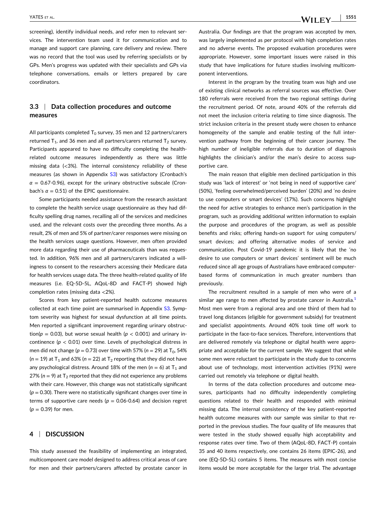screening), identify individual needs, and refer men to relevant services. The intervention team used it for communication and to manage and support care planning, care delivery and review. There was no record that the tool was used by referring specialists or by GPs. Men's progress was updated with their specialists and GPs via telephone conversations, emails or letters prepared by care coordinators.

## **3.3** <sup>|</sup> **Data collection procedures and outcome measures**

All participants completed  $T_0$  survey, 35 men and 12 partners/carers returned  $T_1$ , and 36 men and all partners/carers returned  $T_2$  survey. Participants appeared to have no difficulty completing the health‐ related outcome measures independently as there was little missing data (<3%). The internal consistency reliability of these measures (as shown in Appendix S3) was satisfactory (Cronbach's  $\alpha = 0.67$ -0.96), except for the urinary obstructive subscale (Cronbach's  $\alpha = 0.51$ ) of the EPIC questionnaire.

Some participants needed assistance from the research assistant to complete the health service usage questionnaire as they had difficulty spelling drug names, recalling all of the services and medicines used, and the relevant costs over the preceding three months. As a result, 2% of men and 5% of partner/carer responses were missing on the health services usage questions. However, men often provided more data regarding their use of pharmaceuticals than was requested. In addition, 96% men and all partners/carers indicated a willingness to consent to the researchers accessing their Medicare data for health services usage data. The three health‐related quality of life measures (i.e. EQ‐5D‐5L, AQoL‐8D and FACT‐P) showed high completion rates (missing data <2%).

Scores from key patient‐reported health outcome measures collected at each time point are summarised in Appendix S3. Symptom severity was highest for sexual dysfunction at all time points. Men reported a significant improvement regarding urinary obstruction( $p = 0.03$ ), but worse sexual health ( $p < 0.001$ ) and urinary incontinence ( $p < 0.01$ ) over time. Levels of psychological distress in men did not change ( $p = 0.73$ ) over time with 57% ( $n = 29$ ) at T<sub>0</sub>, 54%  $(n = 19)$  at T<sub>1</sub> and 63% ( $n = 22$ ) at T<sub>2</sub> reporting that they did not have any psychological distress. Around 18% of the men  $(n = 6)$  at  $T_1$  and 27% ( $n = 9$ ) at  $T_2$  reported that they did not experience any problems with their care. However, this change was not statistically significant  $(p = 0.30)$ . There were no statistically significant changes over time in terms of supportive care needs ( $p = 0.06 - 0.64$ ) and decision regret (*p* = 0.39) for men.

#### **4** <sup>|</sup> **DISCUSSION**

This study assessed the feasibility of implementing an integrated, multicomponent care model designed to address critical areas of care for men and their partners/carers affected by prostate cancer in Australia. Our findings are that the program was accepted by men, was largely implemented as per protocol with high completion rates and no adverse events. The proposed evaluation procedures were appropriate. However, some important issues were raised in this study that have implications for future studies involving multicomponent interventions.

Interest in the program by the treating team was high and use of existing clinical networks as referral sources was effective. Over 180 referrals were received from the two regional settings during the recruitment period. Of note, around 40% of the referrals did not meet the inclusion criteria relating to time since diagnosis. The strict inclusion criteria in the present study were chosen to enhance homogeneity of the sample and enable testing of the full intervention pathway from the beginning of their cancer journey. The high number of ineligible referrals due to duration of diagnosis highlights the clinician's and/or the man's desire to access supportive care.

The main reason that eligible men declined participation in this study was 'lack of interest' or 'not being in need of supportive care' (50%), 'feeling overwhelmed/perceived burden' (20%) and 'no desire to use computers or smart devices' (17%). Such concerns highlight the need for active strategies to enhance men's participation in the program, such as providing additional written information to explain the purpose and procedures of the program, as well as possible benefits and risks; offering hands‐on support for using computers/ smart devices; and offering alternative modes of service and communication. Post Covid‐19 pandemic it is likely that the 'no desire to use computers or smart devices' sentiment will be much reduced since all age groups of Australians have embraced computer‐ based forms of communication in much greater numbers than previously.

The recruitment resulted in a sample of men who were of a similar age range to men affected by prostate cancer in Australia.<sup>1</sup> Most men were from a regional area and one third of them had to travel long distances (eligible for government subsidy) for treatment and specialist appointments. Around 40% took time off work to participate in the face-to-face services. Therefore, interventions that are delivered remotely via telephone or digital health were appropriate and acceptable for the current sample. We suggest that while some men were reluctant to participate in the study due to concerns about use of technology, most intervention activities (91%) were carried out remotely via telephone or digital health.

In terms of the data collection procedures and outcome measures, participants had no difficulty independently completing questions related to their health and responded with minimal missing data. The internal consistency of the key patient‐reported health outcome measures with our sample was similar to that reported in the previous studies. The four quality of life measures that were tested in the study showed equally high acceptability and response rates over time. Two of them (AQoL‐8D, FACT‐P) contain 35 and 40 items respectively, one contains 26 items (EPIC‐26), and one (EQ‐5D‐5L) contains 5 items. The measures with most concise items would be more acceptable for the larger trial. The advantage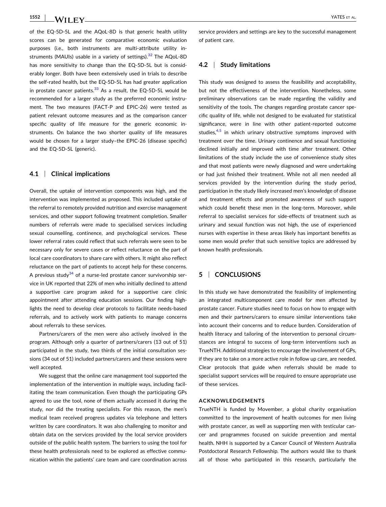of the EQ‐5D‐5L and the AQoL‐8D is that generic health utility scores can be generated for comparative economic evaluation purposes (i.e., both instruments are multi-attribute utility instruments (MAUIs) usable in a variety of settings). $32$  The AQoL-8D has more sensitivity to change than the EQ‐5D‐5L but is considerably longer. Both have been extensively used in trials to describe the self-rated health, but the EQ-5D-5L has had greater application in prostate cancer patients. $33$  As a result, the EQ-5D-5L would be recommended for a larger study as the preferred economic instrument. The two measures (FACT‐P and EPIC‐26) were tested as patient relevant outcome measures and as the comparison cancer specific quality of life measure for the generic economic instruments. On balance the two shorter quality of life measures would be chosen for a larger study–the EPIC‐26 (disease specific) and the EQ‐5D‐5L (generic).

#### **4.1** <sup>|</sup> **Clinical implications**

Overall, the uptake of intervention components was high, and the intervention was implemented as proposed. This included uptake of the referral to remotely provided nutrition and exercise management services, and other support following treatment completion. Smaller numbers of referrals were made to specialised services including sexual counselling, continence, and psychological services. These lower referral rates could reflect that such referrals were seen to be necessary only for severe cases or reflect reluctance on the part of local care coordinators to share care with others. It might also reflect reluctance on the part of patients to accept help for these concerns. A previous study $34$  of a nurse-led prostate cancer survivorship service in UK reported that 22% of men who initially declined to attend a supportive care program asked for a supportive care clinic appointment after attending education sessions. Our finding highlights the need to develop clear protocols to facilitate needs‐based referrals, and to actively work with patients to manage concerns about referrals to these services.

Partners/carers of the men were also actively involved in the program. Although only a quarter of partners/carers (13 out of 51) participated in the study, two thirds of the initial consultation sessions (34 out of 51) included partners/carers and these sessions were well accepted.

We suggest that the online care management tool supported the implementation of the intervention in multiple ways, including facilitating the team communication. Even though the participating GPs agreed to use the tool, none of them actually accessed it during the study, nor did the treating specialists. For this reason, the men's medical team received progress updates via telephone and letters written by care coordinators. It was also challenging to monitor and obtain data on the services provided by the local service providers outside of the public health system. The barriers to using the tool for these health professionals need to be explored as effective communication within the patients' care team and care coordination across

service providers and settings are key to the successful management of patient care.

#### **4.2** <sup>|</sup> **Study limitations**

This study was designed to assess the feasibility and acceptability, but not the effectiveness of the intervention. Nonetheless, some preliminary observations can be made regarding the validity and sensitivity of the tools. The changes regarding prostate cancer specific quality of life, while not designed to be evaluated for statistical significance, were in line with other patient-reported outcome studies, $4.5$  in which urinary obstructive symptoms improved with treatment over the time. Urinary continence and sexual functioning declined initially and improved with time after treatment. Other limitations of the study include the use of convenience study sites and that most patients were newly diagnosed and were undertaking or had just finished their treatment. While not all men needed all services provided by the intervention during the study period, participation in the study likely increased men's knowledge of disease and treatment effects and promoted awareness of such support which could benefit these men in the long-term. Moreover, while referral to specialist services for side‐effects of treatment such as urinary and sexual function was not high, the use of experienced nurses with expertise in these areas likely has important benefits as some men would prefer that such sensitive topics are addressed by known health professionals.

#### **5** <sup>|</sup> **CONCLUSIONS**

In this study we have demonstrated the feasibility of implementing an integrated multicomponent care model for men affected by prostate cancer. Future studies need to focus on how to engage with men and their partners/carers to ensure similar interventions take into account their concerns and to reduce burden. Consideration of health literacy and tailoring of the intervention to personal circumstances are integral to success of long‐term interventions such as TrueNTH. Additional strategies to encourage the involvement of GPs, if they are to take on a more active role in follow up care, are needed. Clear protocols that guide when referrals should be made to specialist support services will be required to ensure appropriate use of these services.

#### **ACKNOWLEDGEMENTS**

TrueNTH is funded by Movember, a global charity organisation committed to the improvement of health outcomes for men living with prostate cancer, as well as supporting men with testicular cancer and programmes focused on suicide prevention and mental health. NHH is supported by a Cancer Council of Western Australia Postdoctoral Research Fellowship. The authors would like to thank all of those who participated in this research, particularly the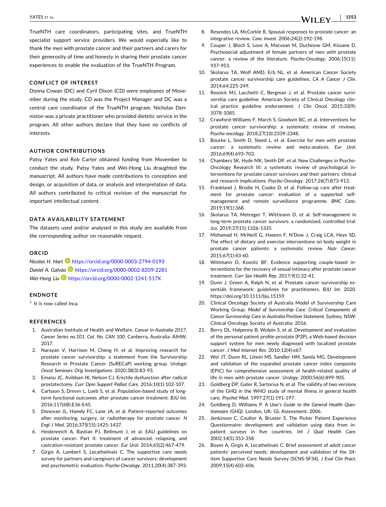<span id="page-11-0"></span>YATES ET AL.

TrueNTH care coordinators, participating sites, and TrueNTH specialist support service providers. We would especially like to thank the men with prostate cancer and their partners and carers for their generosity of time and honesty in sharing their prostate cancer experiences to enable the evaluation of the TrueNTH Program.

#### **CONFLICT OF INTEREST**

Donna Cowan (DC) and Cyril Dixon (CD) were employees of Movember during the study. CD was the Project Manager and DC was a central care coordinator of the TrueNTH program. Nicholas Denniston was a private practitioner who provided dietetic service in the program. All other authors declare that they have no conflicts of interests.

#### **AUTHOR CONTRIBUTIONS**

Patsy Yates and Rob Carter obtained funding from Movember to conduct the study. Patsy Yates and Wei‐Hong Liu draughted the manuscript. All authors have made contributions to conception and design, or acquisition of data, or analysis and interpretation of data. All authors contributed to critical revision of the manuscript for important intellectual content.

#### **DATA AVAILABILITY STATEMENT**

The datasets used and/or analysed in this study are available from the corresponding author on reasonable request.

#### **ORCID**

*Nicolas H. Hart* **D** <https://orcid.org/0000-0003-2794-0193> *Daniel A. Galvão* <https://orcid.org/0000-0002-8209-2281> *Wei‐Hong Liu* <https://orcid.org/0000-0002-1241-517X>

#### **ENDNOTE**

 $1$  It is now called Inca.

#### **REFERENCES**

- 1. Australian Institute of Health and Welfare. *Cancer in Australia 2017. Cancer Series no.101. Cat. No. CAN 100*. Canberra, Australia: AIHW; 2017.
- 2. Narayan V, Harrison M, Cheng H, et al. Improving research for prostate cancer survivorship: a statement from the Survivorship Research in Prostate Cancer (SuRECaP) working group. *Urologic Oncol Seminars Orig Investigations*. 2020;38(3):83‐93.
- 3. Emanu JC, Avildsen IK, Nelson CJ. Erectile dysfunction after radical prostatectomy. *Curr Opin Support Palliat Care*. 2016;10(1):102‐107.
- 4. Carlsson S, Drevin L, Loeb S, et al. Population‐based study of long‐ term functional outcomes after prostate cancer treatment. *BJU Int*. 2016;117(6B):E36‐E45.
- 5. Donovan JL, Hamdy FC, Lane JA, et al. Patient‐reported outcomes after monitoring, surgery, or radiotherapy for prostate cancer. *N Engl J Med*. 2016;375(15):1425‐1437.
- 6. Heidenreich A, Bastian PJ, Bellmunt J, et al. EAU guidelines on prostate cancer. Part II: treatment of advanced, relapsing, and castration‐resistant prostate cancer. *Eur Urol*. 2014;65(2):467‐479.
- 7. Girgis A, Lambert S, Lecathelinais C. The supportive care needs survey for partners and caregivers of cancer survivors: development and psychometric evaluation. *Psycho‐Oncology*. 2011;20(4):387‐393.
- 8. Resendes LA, McCorkle R. Spousal responses to prostate cancer: an integrative review. *Canc Invest*. 2006;24(2):192‐198.
- 9. Couper J, Bloch S, Love A, Macvean M, Duchesne GM, Kissane D. Psychosocial adjustment of female partners of men with prostate cancer: a review of the literature. *Psycho‐Oncology*. 2006;15(11): 937‐953.
- 10. Skolarus TA, Wolf AMD, Erb NL, et al. American Cancer Society prostate cancer survivorship care guidelines. *CA A Cancer J Clin*. 2014;64:225‐249.
- 11. Resnick MJ, Lacchetti C, Bergman J, et al. Prostate cancer survivorship care guideline: American Society of Clinical Oncology clinical practice guideline endorsement. *J Clin Oncol*. 2015;33(9): 1078‐1085.
- 12. Crawford‐Williams F, March S, Goodwin BC, et al. Interventions for prostate cancer survivorship: a systematic review of reviews. *Psycho‐oncology.* 2018;27(10):2339‐2348.
- 13. Bourke L, Smith D, Steed L, et al. Exercise for men with prostate cancer: a systematic review and meta‐analysis. *Eur Urol*. 2016;69(4):693‐703.
- 14. Chambers SK, Hyde MK, Smith DP, et al. New Challenges in Psycho‐ Oncology Research III: a systematic review of psychological interventions for prostate cancer survivors and their partners: clinical and research implications. *Psycho‐Oncology*. 2017;26(7):873‐913.
- 15. Frankland J, Brodie H, Cooke D, et al. Follow‐up care after treatment for prostate cancer: evaluation of a supported selfmanagement and remote surveillance programme. *BMC Canc*. 2019;19(1):368.
- 16. Skolarus TA, Metreger T, Wittmann D, et al. Self‐management in long‐term prostate cancer survivors: a randomized, controlled trial. *Jco*. 2019;37(15):1326‐1335.
- 17. Mohamad H, McNeill G, Haseen F, N'Dow J, Craig LCA, Heys SD. The effect of dietary and exercise interventions on body weight in prostate cancer patients: a systematic review. *Nutr Cancer*. 2015;67(1):43‐60.
- 18. Wittmann D, Koontz BF. Evidence supporting couple‐based interventions for the recovery of sexual intimacy after prostate cancer treatment. *Curr Sex Health Rep*. 2017;9(1):32‐41.
- 19. Dunn J, Green A, Ralph N, et al. Prostate cancer survivorship essentials framework: guidelines for practitioners. *BJU Int*. 2020. <https://doi.org/10.1111/bju.15159>
- 20. Clinical Oncology Society of Australia Model of Survivorship Care Working Group. *Model of Survivorship Care: Critical Components of Cancer Survivorship Care in Australia Position Statement*. Sydney, NSW: Clinical Oncology Society of Australia; 2016.
- 21. Berry DL, Halpenny B, Wolpin S, et al. Development and evaluation of the personal patient profile‐prostate (P3P), a Web‐based decision support system for men newly diagnosed with localized prostate cancer. *J Med Internet Res*. 2010;12(4):e67.
- 22. Wei JT, Dunn RL, Litwin MS, Sandler HM, Sanda MG. Development and validation of the expanded prostate cancer index composite (EPIC) for comprehensive assessment of health‐related quality of life in men with prostate cancer. *Urology*. 2000;56(6):899‐905.
- 23. Goldberg DP, Gater R, Sartorius N, et al. The validity of two versions of the GHQ in the WHO study of mental illness in general health care. *Psychol Med*. 1997;27(1):191‐197.
- 24. Goldberg D, Williams P. *A User's Guide to the General Health Questionnaire (GHQ)*. London, UK: GL Assessment; 2006.
- 25. Jenkinson C, Coulter A, Bruster S. The Picker Patient Experience Questionnaire: development and validation using data from in‐ patient surveys in five countries. *Int J Qual Health Care*. 2002;14(5):353‐358.
- 26. Boyes A, Girgis A, Lecathelinais C. Brief assessment of adult cancer patients' perceived needs: development and validation of the 34‐ item Supportive Care Needs Survey (SCNS‐SF34). *J Eval Clin Pract*. 2009;15(4):602‐606.